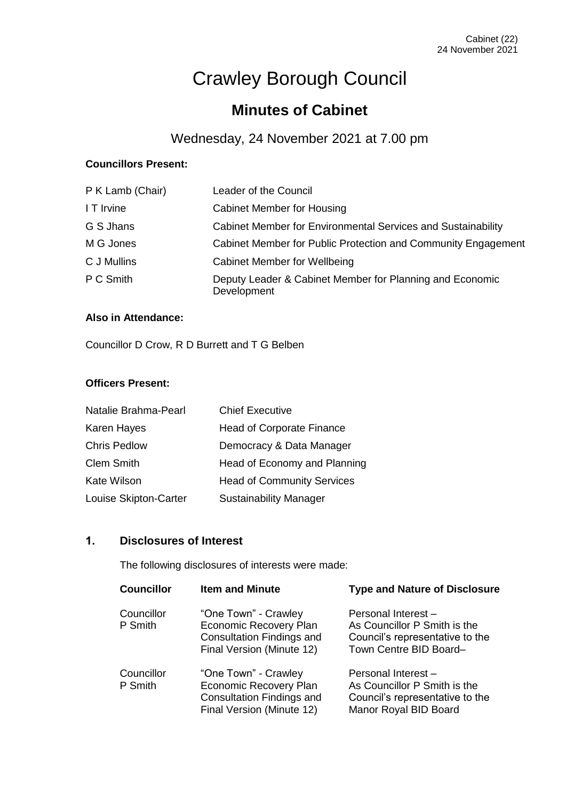# Crawley Borough Council

# **Minutes of Cabinet**

# Wednesday, 24 November 2021 at 7.00 pm

# **Councillors Present:**

| P K Lamb (Chair) | Leader of the Council                                                   |  |
|------------------|-------------------------------------------------------------------------|--|
| I T Irvine       | <b>Cabinet Member for Housing</b>                                       |  |
| G S Jhans        | Cabinet Member for Environmental Services and Sustainability            |  |
| M G Jones        | Cabinet Member for Public Protection and Community Engagement           |  |
| C J Mullins      | <b>Cabinet Member for Wellbeing</b>                                     |  |
| P C Smith        | Deputy Leader & Cabinet Member for Planning and Economic<br>Development |  |

#### **Also in Attendance:**

Councillor D Crow, R D Burrett and T G Belben

# **Officers Present:**

| Democracy & Data Manager          |  |
|-----------------------------------|--|
| Head of Economy and Planning      |  |
| <b>Head of Community Services</b> |  |
|                                   |  |
|                                   |  |

# **1. Disclosures of Interest**

The following disclosures of interests were made:

| <b>Councillor</b>     | <b>Item and Minute</b>                                                                                                 | <b>Type and Nature of Disclosure</b>                                                                             |
|-----------------------|------------------------------------------------------------------------------------------------------------------------|------------------------------------------------------------------------------------------------------------------|
| Councillor<br>P Smith | "One Town" - Crawley<br>Economic Recovery Plan<br><b>Consultation Findings and</b><br>Final Version (Minute 12)        | Personal Interest -<br>As Councillor P Smith is the<br>Council's representative to the<br>Town Centre BID Board- |
| Councillor<br>P Smith | "One Town" - Crawley<br><b>Economic Recovery Plan</b><br><b>Consultation Findings and</b><br>Final Version (Minute 12) | Personal Interest -<br>As Councillor P Smith is the<br>Council's representative to the<br>Manor Royal BID Board  |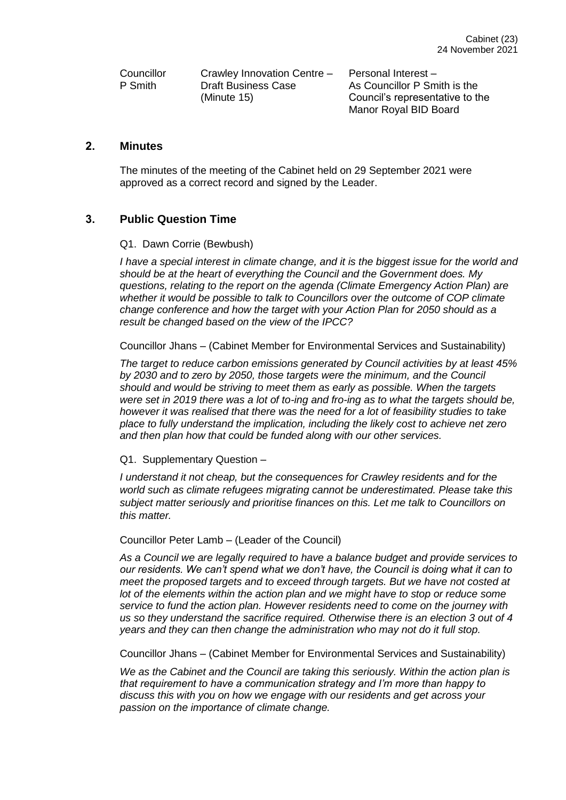**Councillor** P Smith

Crawley Innovation Centre – Draft Business Case (Minute 15)

Personal Interest – As Councillor P Smith is the Council's representative to the Manor Royal BID Board

# **2. Minutes**

The minutes of the meeting of the Cabinet held on 29 September 2021 were approved as a correct record and signed by the Leader.

# **3. Public Question Time**

#### Q1. Dawn Corrie (Bewbush)

*I have a special interest in climate change, and it is the biggest issue for the world and should be at the heart of everything the Council and the Government does. My questions, relating to the report on the agenda (Climate Emergency Action Plan) are whether it would be possible to talk to Councillors over the outcome of COP climate change conference and how the target with your Action Plan for 2050 should as a result be changed based on the view of the IPCC?* 

Councillor Jhans – (Cabinet Member for Environmental Services and Sustainability)

*The target to reduce carbon emissions generated by Council activities by at least 45% by 2030 and to zero by 2050, those targets were the minimum, and the Council should and would be striving to meet them as early as possible. When the targets were set in 2019 there was a lot of to-ing and fro-ing as to what the targets should be, however it was realised that there was the need for a lot of feasibility studies to take place to fully understand the implication, including the likely cost to achieve net zero and then plan how that could be funded along with our other services.*

#### Q1. Supplementary Question –

*I understand it not cheap, but the consequences for Crawley residents and for the world such as climate refugees migrating cannot be underestimated. Please take this subject matter seriously and prioritise finances on this. Let me talk to Councillors on this matter.*

Councillor Peter Lamb – (Leader of the Council)

*As a Council we are legally required to have a balance budget and provide services to our residents. We can't spend what we don't have, the Council is doing what it can to meet the proposed targets and to exceed through targets. But we have not costed at lot of the elements within the action plan and we might have to stop or reduce some service to fund the action plan. However residents need to come on the journey with us so they understand the sacrifice required. Otherwise there is an election 3 out of 4 years and they can then change the administration who may not do it full stop.*

Councillor Jhans – (Cabinet Member for Environmental Services and Sustainability)

*We as the Cabinet and the Council are taking this seriously. Within the action plan is that requirement to have a communication strategy and I'm more than happy to discuss this with you on how we engage with our residents and get across your passion on the importance of climate change.*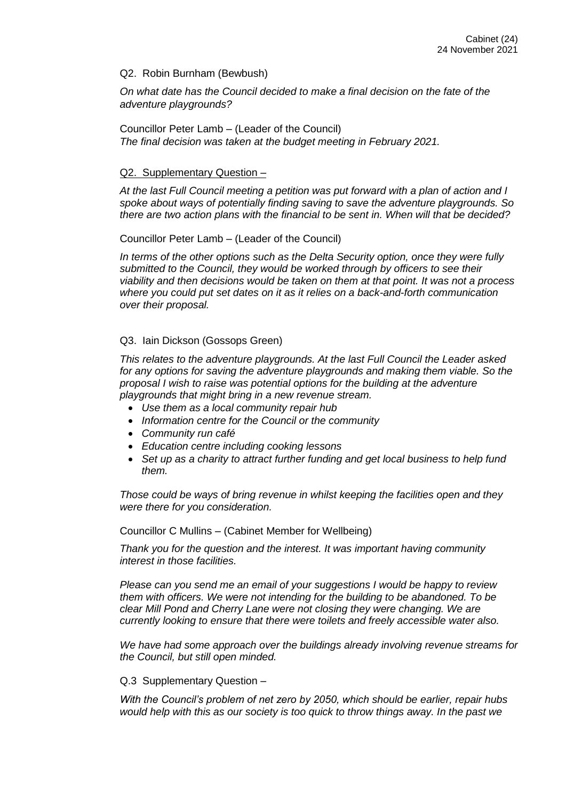#### Q2. Robin Burnham (Bewbush)

*On what date has the Council decided to make a final decision on the fate of the adventure playgrounds?*

Councillor Peter Lamb – (Leader of the Council) *The final decision was taken at the budget meeting in February 2021.*

#### Q2. Supplementary Question –

*At the last Full Council meeting a petition was put forward with a plan of action and I spoke about ways of potentially finding saving to save the adventure playgrounds. So there are two action plans with the financial to be sent in. When will that be decided?*

Councillor Peter Lamb – (Leader of the Council)

*In terms of the other options such as the Delta Security option, once they were fully submitted to the Council, they would be worked through by officers to see their viability and then decisions would be taken on them at that point. It was not a process where you could put set dates on it as it relies on a back-and-forth communication over their proposal.*

#### Q3. Iain Dickson (Gossops Green)

*This relates to the adventure playgrounds. At the last Full Council the Leader asked for any options for saving the adventure playgrounds and making them viable. So the proposal I wish to raise was potential options for the building at the adventure playgrounds that might bring in a new revenue stream.*

- *Use them as a local community repair hub*
- *Information centre for the Council or the community*
- *Community run café*
- *Education centre including cooking lessons*
- *Set up as a charity to attract further funding and get local business to help fund them.*

*Those could be ways of bring revenue in whilst keeping the facilities open and they were there for you consideration.*

Councillor C Mullins – (Cabinet Member for Wellbeing)

*Thank you for the question and the interest. It was important having community interest in those facilities.*

*Please can you send me an email of your suggestions I would be happy to review them with officers. We were not intending for the building to be abandoned. To be clear Mill Pond and Cherry Lane were not closing they were changing. We are currently looking to ensure that there were toilets and freely accessible water also.*

*We have had some approach over the buildings already involving revenue streams for the Council, but still open minded.*

#### Q.3 Supplementary Question –

*With the Council's problem of net zero by 2050, which should be earlier, repair hubs would help with this as our society is too quick to throw things away. In the past we*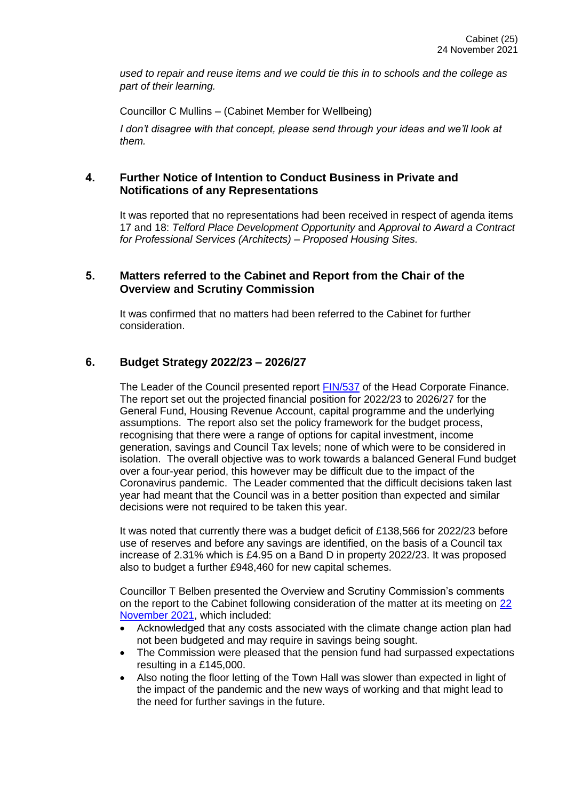*used to repair and reuse items and we could tie this in to schools and the college as part of their learning.*

Councillor C Mullins – (Cabinet Member for Wellbeing)

*I don't disagree with that concept, please send through your ideas and we'll look at them.*

# **4. Further Notice of Intention to Conduct Business in Private and Notifications of any Representations**

It was reported that no representations had been received in respect of agenda items 17 and 18: *Telford Place Development Opportunity* and *Approval to Award a Contract for Professional Services (Architects) – Proposed Housing Sites.*

# **5. Matters referred to the Cabinet and Report from the Chair of the Overview and Scrutiny Commission**

It was confirmed that no matters had been referred to the Cabinet for further consideration.

# **6. Budget Strategy 2022/23 – 2026/27**

The Leader of the Council presented report [FIN/537](https://democracy.crawley.gov.uk/documents/s20711/Budget%20Strategy%20202223%20202627.pdf) of the Head Corporate Finance. The report set out the projected financial position for 2022/23 to 2026/27 for the General Fund, Housing Revenue Account, capital programme and the underlying assumptions. The report also set the policy framework for the budget process, recognising that there were a range of options for capital investment, income generation, savings and Council Tax levels; none of which were to be considered in isolation. The overall objective was to work towards a balanced General Fund budget over a four-year period, this however may be difficult due to the impact of the Coronavirus pandemic. The Leader commented that the difficult decisions taken last year had meant that the Council was in a better position than expected and similar decisions were not required to be taken this year.

It was noted that currently there was a budget deficit of £138,566 for 2022/23 before use of reserves and before any savings are identified, on the basis of a Council tax increase of 2.31% which is £4.95 on a Band D in property 2022/23. It was proposed also to budget a further £948,460 for new capital schemes.

Councillor T Belben presented the Overview and Scrutiny Commission's comments on the report to the Cabinet following consideration of the matter at its meeting on [22](https://democracy.crawley.gov.uk/documents/b11252/OSC%20Comments%20to%20Cabinet%2024th-Nov-2021%2019.00%20Cabinet.pdf?T=9)  [November 2021,](https://democracy.crawley.gov.uk/documents/b11252/OSC%20Comments%20to%20Cabinet%2024th-Nov-2021%2019.00%20Cabinet.pdf?T=9) which included:

- Acknowledged that any costs associated with the climate change action plan had not been budgeted and may require in savings being sought.
- The Commission were pleased that the pension fund had surpassed expectations resulting in a £145,000.
- Also noting the floor letting of the Town Hall was slower than expected in light of the impact of the pandemic and the new ways of working and that might lead to the need for further savings in the future.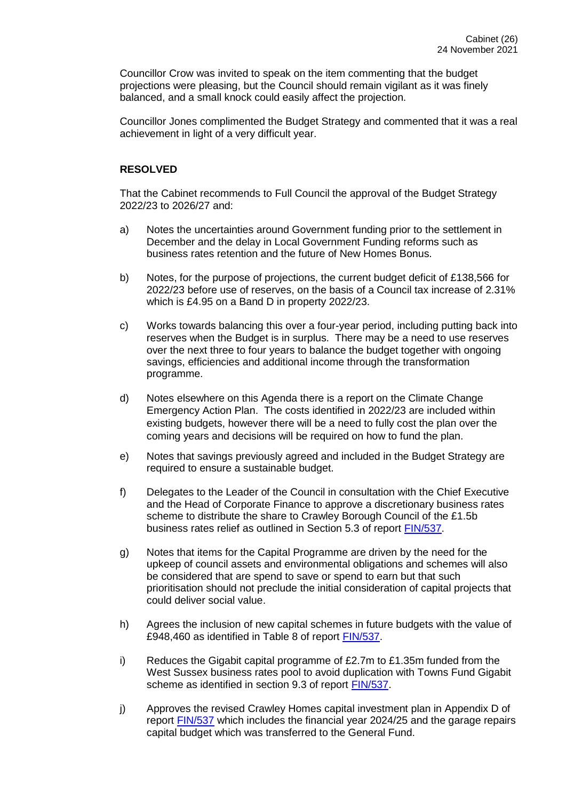Councillor Crow was invited to speak on the item commenting that the budget projections were pleasing, but the Council should remain vigilant as it was finely balanced, and a small knock could easily affect the projection.

Councillor Jones complimented the Budget Strategy and commented that it was a real achievement in light of a very difficult year.

#### **RESOLVED**

That the Cabinet recommends to Full Council the approval of the Budget Strategy 2022/23 to 2026/27 and:

- a) Notes the uncertainties around Government funding prior to the settlement in December and the delay in Local Government Funding reforms such as business rates retention and the future of New Homes Bonus.
- b) Notes, for the purpose of projections, the current budget deficit of £138,566 for 2022/23 before use of reserves, on the basis of a Council tax increase of 2.31% which is £4.95 on a Band D in property 2022/23.
- c) Works towards balancing this over a four-year period, including putting back into reserves when the Budget is in surplus. There may be a need to use reserves over the next three to four years to balance the budget together with ongoing savings, efficiencies and additional income through the transformation programme.
- d) Notes elsewhere on this Agenda there is a report on the Climate Change Emergency Action Plan. The costs identified in 2022/23 are included within existing budgets, however there will be a need to fully cost the plan over the coming years and decisions will be required on how to fund the plan.
- e) Notes that savings previously agreed and included in the Budget Strategy are required to ensure a sustainable budget.
- f) Delegates to the Leader of the Council in consultation with the Chief Executive and the Head of Corporate Finance to approve a discretionary business rates scheme to distribute the share to Crawley Borough Council of the £1.5b business rates relief as outlined in Section 5.3 of report [FIN/537.](https://democracy.crawley.gov.uk/documents/s20711/Budget%20Strategy%20202223%20202627.pdf)
- g) Notes that items for the Capital Programme are driven by the need for the upkeep of council assets and environmental obligations and schemes will also be considered that are spend to save or spend to earn but that such prioritisation should not preclude the initial consideration of capital projects that could deliver social value.
- h) Agrees the inclusion of new capital schemes in future budgets with the value of £948,460 as identified in Table 8 of report [FIN/537.](https://democracy.crawley.gov.uk/documents/s20711/Budget%20Strategy%20202223%20202627.pdf)
- i) Reduces the Gigabit capital programme of  $£2.7m$  to  $£1.35m$  funded from the West Sussex business rates pool to avoid duplication with Towns Fund Gigabit scheme as identified in section 9.3 of report [FIN/537.](https://democracy.crawley.gov.uk/documents/s20711/Budget%20Strategy%20202223%20202627.pdf)
- j) Approves the revised Crawley Homes capital investment plan in Appendix D of report **FIN/537** which includes the financial year 2024/25 and the garage repairs capital budget which was transferred to the General Fund.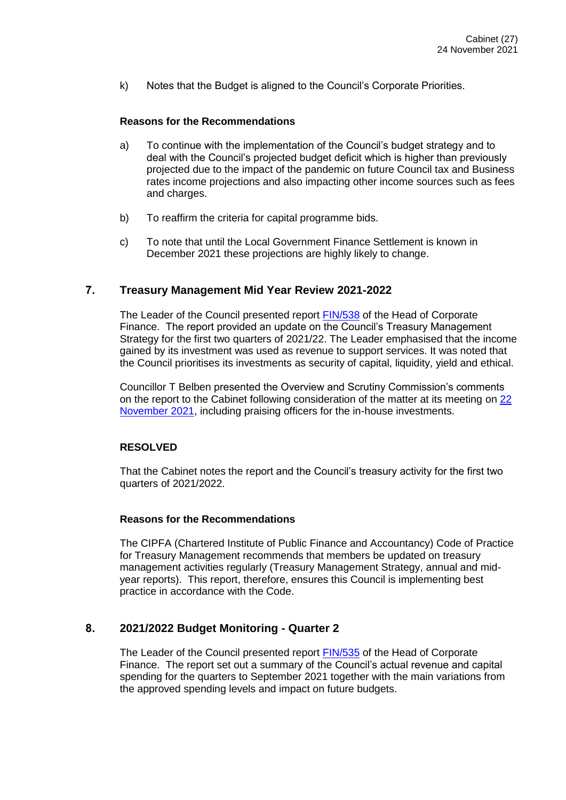k) Notes that the Budget is aligned to the Council's Corporate Priorities.

#### **Reasons for the Recommendations**

- a) To continue with the implementation of the Council's budget strategy and to deal with the Council's projected budget deficit which is higher than previously projected due to the impact of the pandemic on future Council tax and Business rates income projections and also impacting other income sources such as fees and charges.
- b) To reaffirm the criteria for capital programme bids.
- c) To note that until the Local Government Finance Settlement is known in December 2021 these projections are highly likely to change.

#### **7. Treasury Management Mid Year Review 2021-2022**

The Leader of the Council presented report [FIN/538](https://democracy.crawley.gov.uk/documents/s20688/Treasury%20Management%20Mid%20Year%20Review%202021-2022.pdf) of the Head of Corporate Finance. The report provided an update on the Council's Treasury Management Strategy for the first two quarters of 2021/22. The Leader emphasised that the income gained by its investment was used as revenue to support services. It was noted that the Council prioritises its investments as security of capital, liquidity, yield and ethical.

Councillor T Belben presented the Overview and Scrutiny Commission's comments on the report to the Cabinet following consideration of the matter at its meeting on [22](https://democracy.crawley.gov.uk/documents/b11252/OSC%20Comments%20to%20Cabinet%2024th-Nov-2021%2019.00%20Cabinet.pdf?T=9)  [November 2021,](https://democracy.crawley.gov.uk/documents/b11252/OSC%20Comments%20to%20Cabinet%2024th-Nov-2021%2019.00%20Cabinet.pdf?T=9) including praising officers for the in-house investments.

#### **RESOLVED**

That the Cabinet notes the report and the Council's treasury activity for the first two quarters of 2021/2022.

#### **Reasons for the Recommendations**

The CIPFA (Chartered Institute of Public Finance and Accountancy) Code of Practice for Treasury Management recommends that members be updated on treasury management activities regularly (Treasury Management Strategy, annual and midyear reports). This report, therefore, ensures this Council is implementing best practice in accordance with the Code.

#### **8. 2021/2022 Budget Monitoring - Quarter 2**

The Leader of the Council presented report [FIN/535](https://democracy.crawley.gov.uk/documents/s20689/20212022%20Budget%20Monitoring%20-%20Quarter%202.pdf) of the Head of Corporate Finance. The report set out a summary of the Council's actual revenue and capital spending for the quarters to September 2021 together with the main variations from the approved spending levels and impact on future budgets.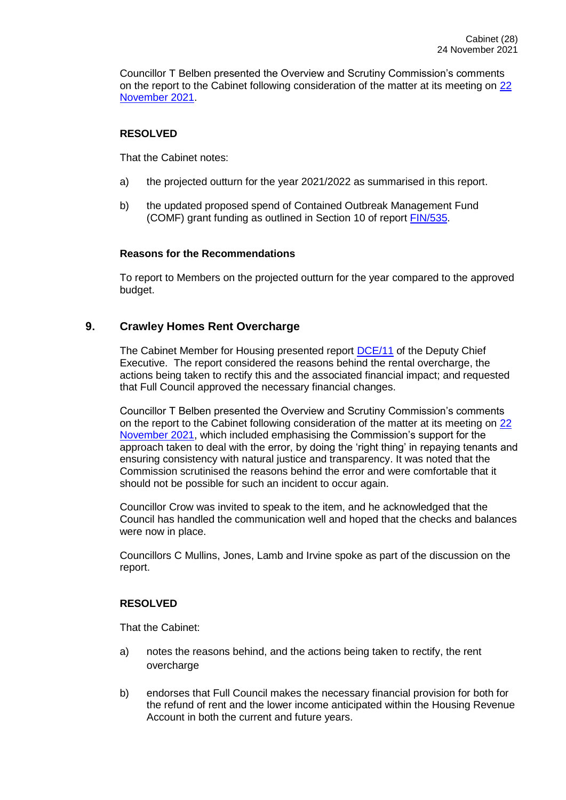Councillor T Belben presented the Overview and Scrutiny Commission's comments on the report to the Cabinet following consideration of the matter at its meeting on [22](https://democracy.crawley.gov.uk/documents/b11252/OSC%20Comments%20to%20Cabinet%2024th-Nov-2021%2019.00%20Cabinet.pdf?T=9)  [November 2021.](https://democracy.crawley.gov.uk/documents/b11252/OSC%20Comments%20to%20Cabinet%2024th-Nov-2021%2019.00%20Cabinet.pdf?T=9)

#### **RESOLVED**

That the Cabinet notes:

- a) the projected outturn for the year 2021/2022 as summarised in this report.
- b) the updated proposed spend of Contained Outbreak Management Fund (COMF) grant funding as outlined in Section 10 of report [FIN/535.](https://democracy.crawley.gov.uk/documents/s20689/20212022%20Budget%20Monitoring%20-%20Quarter%202.pdf)

# **Reasons for the Recommendations**

To report to Members on the projected outturn for the year compared to the approved budget.

# **9. Crawley Homes Rent Overcharge**

The Cabinet Member for Housing presented report [DCE/11](https://democracy.crawley.gov.uk/documents/s20690/Crawley%20Homes%20Rent%20Overcharge.pdf) of the Deputy Chief Executive. The report considered the reasons behind the rental overcharge, the actions being taken to rectify this and the associated financial impact; and requested that Full Council approved the necessary financial changes.

Councillor T Belben presented the Overview and Scrutiny Commission's comments on the report to the Cabinet following consideration of the matter at its meeting on [22](https://democracy.crawley.gov.uk/documents/b11252/OSC%20Comments%20to%20Cabinet%2024th-Nov-2021%2019.00%20Cabinet.pdf?T=9)  [November 2021,](https://democracy.crawley.gov.uk/documents/b11252/OSC%20Comments%20to%20Cabinet%2024th-Nov-2021%2019.00%20Cabinet.pdf?T=9) which included emphasising the Commission's support for the approach taken to deal with the error, by doing the 'right thing' in repaying tenants and ensuring consistency with natural justice and transparency. It was noted that the Commission scrutinised the reasons behind the error and were comfortable that it should not be possible for such an incident to occur again.

Councillor Crow was invited to speak to the item, and he acknowledged that the Council has handled the communication well and hoped that the checks and balances were now in place.

Councillors C Mullins, Jones, Lamb and Irvine spoke as part of the discussion on the report.

# **RESOLVED**

That the Cabinet:

- a) notes the reasons behind, and the actions being taken to rectify, the rent overcharge
- b) endorses that Full Council makes the necessary financial provision for both for the refund of rent and the lower income anticipated within the Housing Revenue Account in both the current and future years.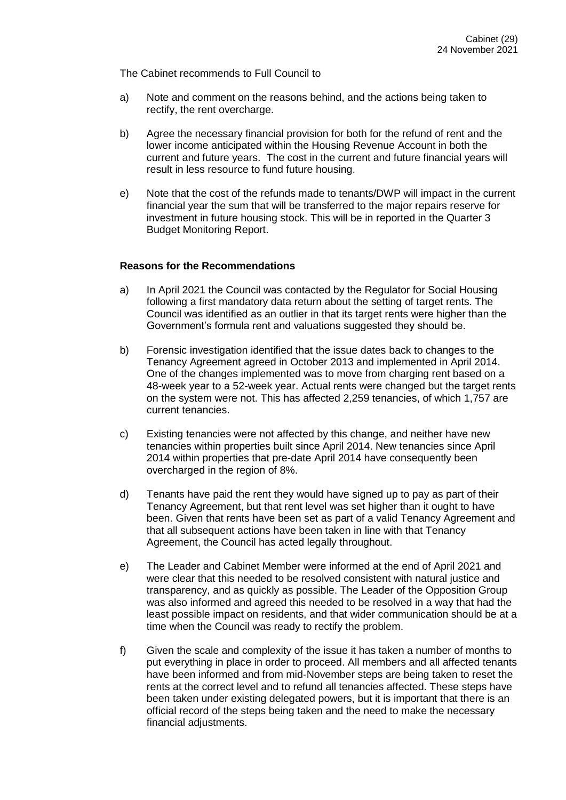The Cabinet recommends to Full Council to

- a) Note and comment on the reasons behind, and the actions being taken to rectify, the rent overcharge.
- b) Agree the necessary financial provision for both for the refund of rent and the lower income anticipated within the Housing Revenue Account in both the current and future years. The cost in the current and future financial years will result in less resource to fund future housing.
- e) Note that the cost of the refunds made to tenants/DWP will impact in the current financial year the sum that will be transferred to the major repairs reserve for investment in future housing stock. This will be in reported in the Quarter 3 Budget Monitoring Report.

#### **Reasons for the Recommendations**

- a) In April 2021 the Council was contacted by the Regulator for Social Housing following a first mandatory data return about the setting of target rents. The Council was identified as an outlier in that its target rents were higher than the Government's formula rent and valuations suggested they should be.
- b) Forensic investigation identified that the issue dates back to changes to the Tenancy Agreement agreed in October 2013 and implemented in April 2014. One of the changes implemented was to move from charging rent based on a 48-week year to a 52-week year. Actual rents were changed but the target rents on the system were not. This has affected 2,259 tenancies, of which 1,757 are current tenancies.
- c) Existing tenancies were not affected by this change, and neither have new tenancies within properties built since April 2014. New tenancies since April 2014 within properties that pre-date April 2014 have consequently been overcharged in the region of 8%.
- d) Tenants have paid the rent they would have signed up to pay as part of their Tenancy Agreement, but that rent level was set higher than it ought to have been. Given that rents have been set as part of a valid Tenancy Agreement and that all subsequent actions have been taken in line with that Tenancy Agreement, the Council has acted legally throughout.
- e) The Leader and Cabinet Member were informed at the end of April 2021 and were clear that this needed to be resolved consistent with natural justice and transparency, and as quickly as possible. The Leader of the Opposition Group was also informed and agreed this needed to be resolved in a way that had the least possible impact on residents, and that wider communication should be at a time when the Council was ready to rectify the problem.
- f) Given the scale and complexity of the issue it has taken a number of months to put everything in place in order to proceed. All members and all affected tenants have been informed and from mid-November steps are being taken to reset the rents at the correct level and to refund all tenancies affected. These steps have been taken under existing delegated powers, but it is important that there is an official record of the steps being taken and the need to make the necessary financial adiustments.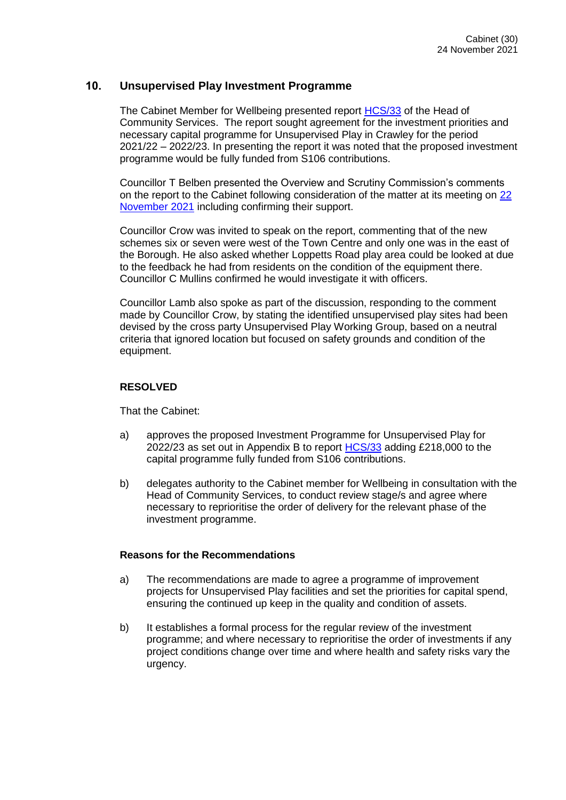# **10. Unsupervised Play Investment Programme**

The Cabinet Member for Wellbeing presented report [HCS/33](https://democracy.crawley.gov.uk/documents/s20691/Unsupervised%20Play%20Investment%20Programme.pdf) of the Head of Community Services. The report sought agreement for the investment priorities and necessary capital programme for Unsupervised Play in Crawley for the period 2021/22 – 2022/23. In presenting the report it was noted that the proposed investment programme would be fully funded from S106 contributions.

Councillor T Belben presented the Overview and Scrutiny Commission's comments on the report to the Cabinet following consideration of the matter at its meeting on [22](https://democracy.crawley.gov.uk/documents/b11252/OSC%20Comments%20to%20Cabinet%2024th-Nov-2021%2019.00%20Cabinet.pdf?T=9)  [November 2021](https://democracy.crawley.gov.uk/documents/b11252/OSC%20Comments%20to%20Cabinet%2024th-Nov-2021%2019.00%20Cabinet.pdf?T=9) including confirming their support.

Councillor Crow was invited to speak on the report, commenting that of the new schemes six or seven were west of the Town Centre and only one was in the east of the Borough. He also asked whether Loppetts Road play area could be looked at due to the feedback he had from residents on the condition of the equipment there. Councillor C Mullins confirmed he would investigate it with officers.

Councillor Lamb also spoke as part of the discussion, responding to the comment made by Councillor Crow, by stating the identified unsupervised play sites had been devised by the cross party Unsupervised Play Working Group, based on a neutral criteria that ignored location but focused on safety grounds and condition of the equipment.

#### **RESOLVED**

That the Cabinet:

- a) approves the proposed Investment Programme for Unsupervised Play for 2022/23 as set out in Appendix B to report [HCS/33](https://democracy.crawley.gov.uk/documents/s20691/Unsupervised%20Play%20Investment%20Programme.pdf) adding £218,000 to the capital programme fully funded from S106 contributions.
- b) delegates authority to the Cabinet member for Wellbeing in consultation with the Head of Community Services, to conduct review stage/s and agree where necessary to reprioritise the order of delivery for the relevant phase of the investment programme.

#### **Reasons for the Recommendations**

- a) The recommendations are made to agree a programme of improvement projects for Unsupervised Play facilities and set the priorities for capital spend, ensuring the continued up keep in the quality and condition of assets.
- b) It establishes a formal process for the regular review of the investment programme; and where necessary to reprioritise the order of investments if any project conditions change over time and where health and safety risks vary the urgency.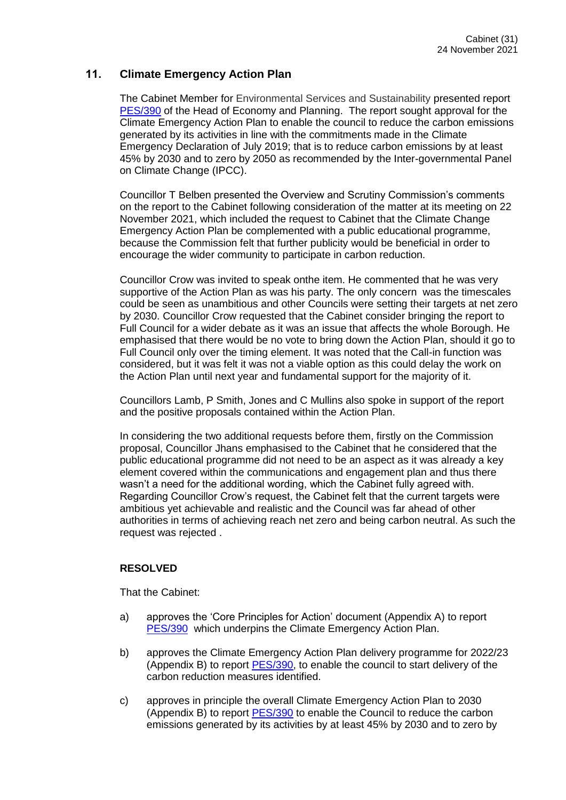# **11. Climate Emergency Action Plan**

The Cabinet Member for Environmental Services and Sustainability presented report [PES/390](https://democracy.crawley.gov.uk/documents/s20713/Climate%20Emergency%20Action%20Plan.pdf) of the Head of Economy and Planning. The report sought approval for the Climate Emergency Action Plan to enable the council to reduce the carbon emissions generated by its activities in line with the commitments made in the Climate Emergency Declaration of July 2019; that is to reduce carbon emissions by at least 45% by 2030 and to zero by 2050 as recommended by the Inter-governmental Panel on Climate Change (IPCC).

Councillor T Belben presented the Overview and Scrutiny Commission's comments on the report to the Cabinet following consideration of the matter at its meeting on 22 November 2021, which included the request to Cabinet that the Climate Change Emergency Action Plan be complemented with a public educational programme, because the Commission felt that further publicity would be beneficial in order to encourage the wider community to participate in carbon reduction.

Councillor Crow was invited to speak onthe item. He commented that he was very supportive of the Action Plan as was his party. The only concern was the timescales could be seen as unambitious and other Councils were setting their targets at net zero by 2030. Councillor Crow requested that the Cabinet consider bringing the report to Full Council for a wider debate as it was an issue that affects the whole Borough. He emphasised that there would be no vote to bring down the Action Plan, should it go to Full Council only over the timing element. It was noted that the Call-in function was considered, but it was felt it was not a viable option as this could delay the work on the Action Plan until next year and fundamental support for the majority of it.

Councillors Lamb, P Smith, Jones and C Mullins also spoke in support of the report and the positive proposals contained within the Action Plan.

In considering the two additional requests before them, firstly on the Commission proposal, Councillor Jhans emphasised to the Cabinet that he considered that the public educational programme did not need to be an aspect as it was already a key element covered within the communications and engagement plan and thus there wasn't a need for the additional wording, which the Cabinet fully agreed with. Regarding Councillor Crow's request, the Cabinet felt that the current targets were ambitious yet achievable and realistic and the Council was far ahead of other authorities in terms of achieving reach net zero and being carbon neutral. As such the request was rejected .

#### **RESOLVED**

That the Cabinet:

- a) approves the 'Core Principles for Action' document (Appendix A) to report [PES/390](https://democracy.crawley.gov.uk/documents/s20713/Climate%20Emergency%20Action%20Plan.pdf) which underpins the Climate Emergency Action Plan.
- b) approves the Climate Emergency Action Plan delivery programme for 2022/23 (Appendix B) to report [PES/390,](https://democracy.crawley.gov.uk/documents/s20713/Climate%20Emergency%20Action%20Plan.pdf) to enable the council to start delivery of the carbon reduction measures identified.
- c) approves in principle the overall Climate Emergency Action Plan to 2030 (Appendix B) to report [PES/390](https://democracy.crawley.gov.uk/documents/s20713/Climate%20Emergency%20Action%20Plan.pdf) to enable the Council to reduce the carbon emissions generated by its activities by at least 45% by 2030 and to zero by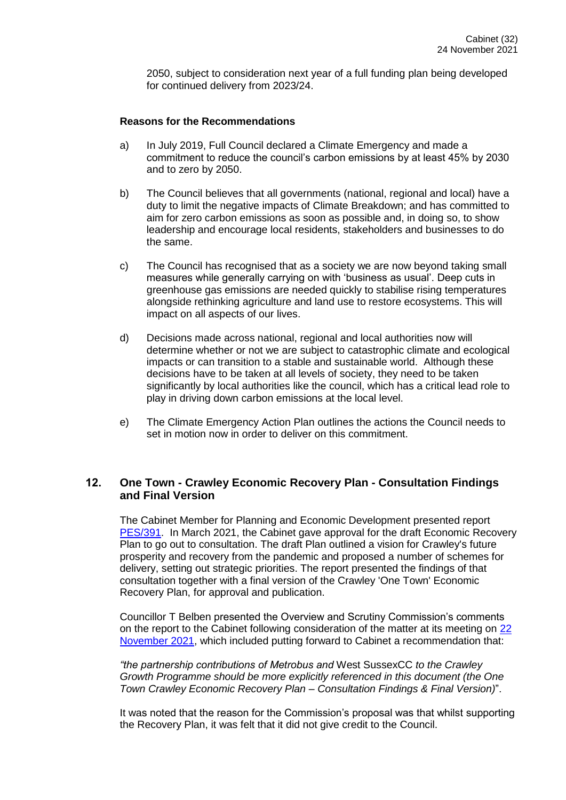2050, subject to consideration next year of a full funding plan being developed for continued delivery from 2023/24.

#### **Reasons for the Recommendations**

- a) In July 2019, Full Council declared a Climate Emergency and made a commitment to reduce the council's carbon emissions by at least 45% by 2030 and to zero by 2050.
- b) The Council believes that all governments (national, regional and local) have a duty to limit the negative impacts of Climate Breakdown; and has committed to aim for zero carbon emissions as soon as possible and, in doing so, to show leadership and encourage local residents, stakeholders and businesses to do the same.
- c) The Council has recognised that as a society we are now beyond taking small measures while generally carrying on with 'business as usual'. Deep cuts in greenhouse gas emissions are needed quickly to stabilise rising temperatures alongside rethinking agriculture and land use to restore ecosystems. This will impact on all aspects of our lives.
- d) Decisions made across national, regional and local authorities now will determine whether or not we are subject to catastrophic climate and ecological impacts or can transition to a stable and sustainable world. Although these decisions have to be taken at all levels of society, they need to be taken significantly by local authorities like the council, which has a critical lead role to play in driving down carbon emissions at the local level.
- e) The Climate Emergency Action Plan outlines the actions the Council needs to set in motion now in order to deliver on this commitment.

# **12. One Town - Crawley Economic Recovery Plan - Consultation Findings and Final Version**

The Cabinet Member for Planning and Economic Development presented report [PES/391.](https://democracy.crawley.gov.uk/documents/s20708/One%20Town%20-%20Crawley%20Economic%20Recovery%20Plan%20-%20Consultation%20Findings%20and%20Final%20Version.pdf) In March 2021, the Cabinet gave approval for the draft Economic Recovery Plan to go out to consultation. The draft Plan outlined a vision for Crawley's future prosperity and recovery from the pandemic and proposed a number of schemes for delivery, setting out strategic priorities. The report presented the findings of that consultation together with a final version of the Crawley 'One Town' Economic Recovery Plan, for approval and publication.

Councillor T Belben presented the Overview and Scrutiny Commission's comments on the report to the Cabinet following consideration of the matter at its meeting on 22 [November 2021,](https://democracy.crawley.gov.uk/documents/b11252/OSC%20Comments%20to%20Cabinet%2024th-Nov-2021%2019.00%20Cabinet.pdf?T=9) which included putting forward to Cabinet a recommendation that:

*"the partnership contributions of Metrobus and* West SussexCC *to the Crawley Growth Programme should be more explicitly referenced in this document (the One Town Crawley Economic Recovery Plan – Consultation Findings & Final Version)*".

It was noted that the reason for the Commission's proposal was that whilst supporting the Recovery Plan, it was felt that it did not give credit to the Council.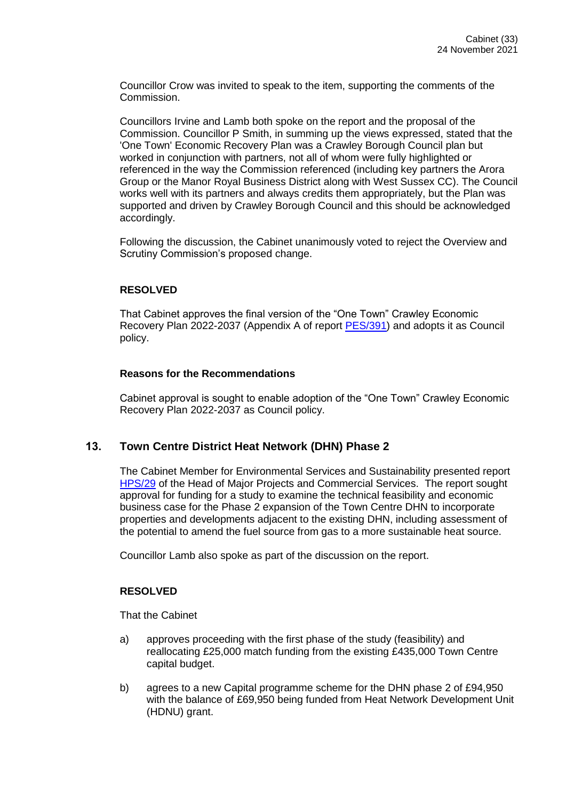Councillor Crow was invited to speak to the item, supporting the comments of the Commission.

Councillors Irvine and Lamb both spoke on the report and the proposal of the Commission. Councillor P Smith, in summing up the views expressed, stated that the 'One Town' Economic Recovery Plan was a Crawley Borough Council plan but worked in conjunction with partners, not all of whom were fully highlighted or referenced in the way the Commission referenced (including key partners the Arora Group or the Manor Royal Business District along with West Sussex CC). The Council works well with its partners and always credits them appropriately, but the Plan was supported and driven by Crawley Borough Council and this should be acknowledged accordingly.

Following the discussion, the Cabinet unanimously voted to reject the Overview and Scrutiny Commission's proposed change.

#### **RESOLVED**

That Cabinet approves the final version of the "One Town" Crawley Economic Recovery Plan 2022-2037 (Appendix A of report **PES/391)** and adopts it as Council policy.

#### **Reasons for the Recommendations**

Cabinet approval is sought to enable adoption of the "One Town" Crawley Economic Recovery Plan 2022-2037 as Council policy.

#### **13. Town Centre District Heat Network (DHN) Phase 2**

The Cabinet Member for Environmental Services and Sustainability presented report [HPS/29](https://democracy.crawley.gov.uk/documents/s20696/Town%20Centre%20District%20Heat%20Network%20DHN%20Phase%202.pdf) of the Head of Major Projects and Commercial Services. The report sought approval for funding for a study to examine the technical feasibility and economic business case for the Phase 2 expansion of the Town Centre DHN to incorporate properties and developments adjacent to the existing DHN, including assessment of the potential to amend the fuel source from gas to a more sustainable heat source.

Councillor Lamb also spoke as part of the discussion on the report.

#### **RESOLVED**

That the Cabinet

- a) approves proceeding with the first phase of the study (feasibility) and reallocating £25,000 match funding from the existing £435,000 Town Centre capital budget.
- b) agrees to a new Capital programme scheme for the DHN phase 2 of £94,950 with the balance of £69,950 being funded from Heat Network Development Unit (HDNU) grant.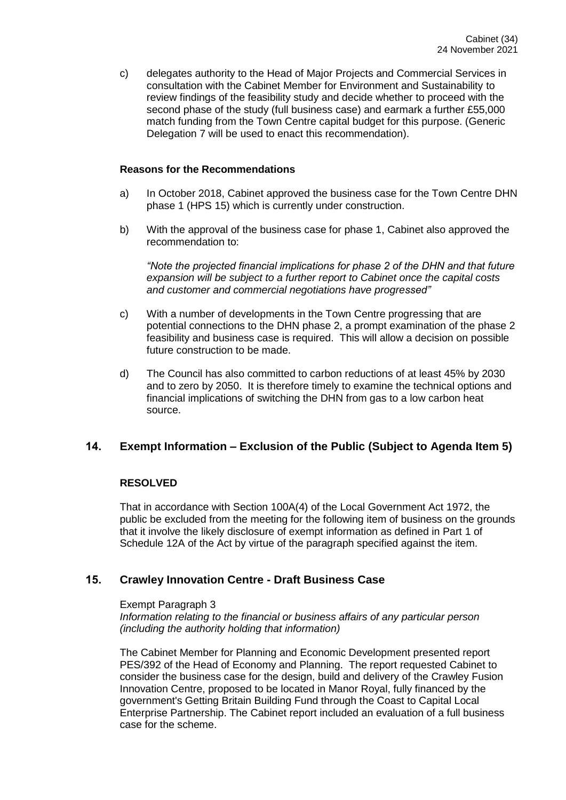c) delegates authority to the Head of Major Projects and Commercial Services in consultation with the Cabinet Member for Environment and Sustainability to review findings of the feasibility study and decide whether to proceed with the second phase of the study (full business case) and earmark a further £55,000 match funding from the Town Centre capital budget for this purpose. (Generic Delegation 7 will be used to enact this recommendation).

#### **Reasons for the Recommendations**

- a) In October 2018, Cabinet approved the business case for the Town Centre DHN phase 1 (HPS 15) which is currently under construction.
- b) With the approval of the business case for phase 1, Cabinet also approved the recommendation to:

*"Note the projected financial implications for phase 2 of the DHN and that future expansion will be subject to a further report to Cabinet once the capital costs and customer and commercial negotiations have progressed"*

- c) With a number of developments in the Town Centre progressing that are potential connections to the DHN phase 2, a prompt examination of the phase 2 feasibility and business case is required. This will allow a decision on possible future construction to be made.
- d) The Council has also committed to carbon reductions of at least 45% by 2030 and to zero by 2050. It is therefore timely to examine the technical options and financial implications of switching the DHN from gas to a low carbon heat source.

#### **14. Exempt Information – Exclusion of the Public (Subject to Agenda Item 5)**

#### **RESOLVED**

That in accordance with Section 100A(4) of the Local Government Act 1972, the public be excluded from the meeting for the following item of business on the grounds that it involve the likely disclosure of exempt information as defined in Part 1 of Schedule 12A of the Act by virtue of the paragraph specified against the item.

# **15. Crawley Innovation Centre - Draft Business Case**

#### Exempt Paragraph 3

*Information relating to the financial or business affairs of any particular person (including the authority holding that information)*

The Cabinet Member for Planning and Economic Development presented report PES/392 of the Head of Economy and Planning. The report requested Cabinet to consider the business case for the design, build and delivery of the Crawley Fusion Innovation Centre, proposed to be located in Manor Royal, fully financed by the government's Getting Britain Building Fund through the Coast to Capital Local Enterprise Partnership. The Cabinet report included an evaluation of a full business case for the scheme.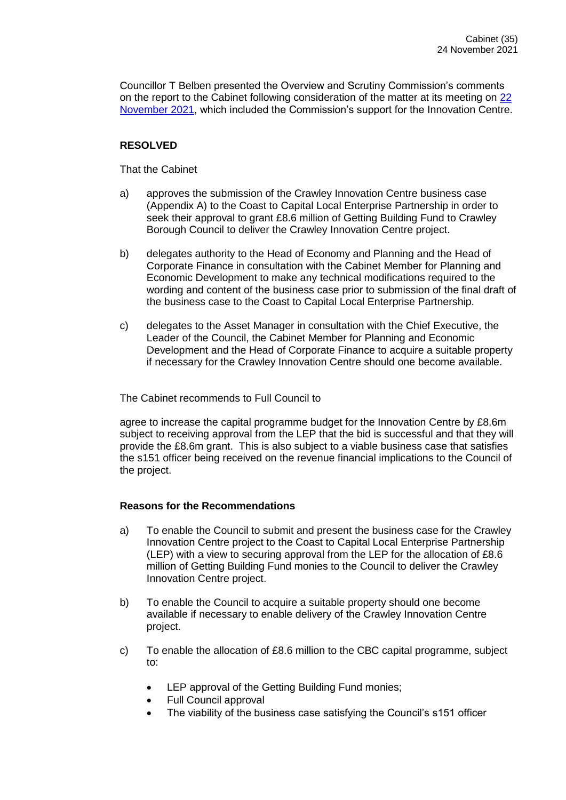Councillor T Belben presented the Overview and Scrutiny Commission's comments on the report to the Cabinet following consideration of the matter at its meeting on 22 [November 2021,](https://democracy.crawley.gov.uk/documents/b11252/OSC%20Comments%20to%20Cabinet%2024th-Nov-2021%2019.00%20Cabinet.pdf?T=9) which included the Commission's support for the Innovation Centre.

# **RESOLVED**

That the Cabinet

- a) approves the submission of the Crawley Innovation Centre business case (Appendix A) to the Coast to Capital Local Enterprise Partnership in order to seek their approval to grant £8.6 million of Getting Building Fund to Crawley Borough Council to deliver the Crawley Innovation Centre project.
- b) delegates authority to the Head of Economy and Planning and the Head of Corporate Finance in consultation with the Cabinet Member for Planning and Economic Development to make any technical modifications required to the wording and content of the business case prior to submission of the final draft of the business case to the Coast to Capital Local Enterprise Partnership.
- c) delegates to the Asset Manager in consultation with the Chief Executive, the Leader of the Council, the Cabinet Member for Planning and Economic Development and the Head of Corporate Finance to acquire a suitable property if necessary for the Crawley Innovation Centre should one become available.

The Cabinet recommends to Full Council to

agree to increase the capital programme budget for the Innovation Centre by £8.6m subject to receiving approval from the LEP that the bid is successful and that they will provide the £8.6m grant. This is also subject to a viable business case that satisfies the s151 officer being received on the revenue financial implications to the Council of the project.

#### **Reasons for the Recommendations**

- a) To enable the Council to submit and present the business case for the Crawley Innovation Centre project to the Coast to Capital Local Enterprise Partnership (LEP) with a view to securing approval from the LEP for the allocation of £8.6 million of Getting Building Fund monies to the Council to deliver the Crawley Innovation Centre project.
- b) To enable the Council to acquire a suitable property should one become available if necessary to enable delivery of the Crawley Innovation Centre project.
- c) To enable the allocation of £8.6 million to the CBC capital programme, subject to:
	- LEP approval of the Getting Building Fund monies;
	- Full Council approval
	- The viability of the business case satisfying the Council's s151 officer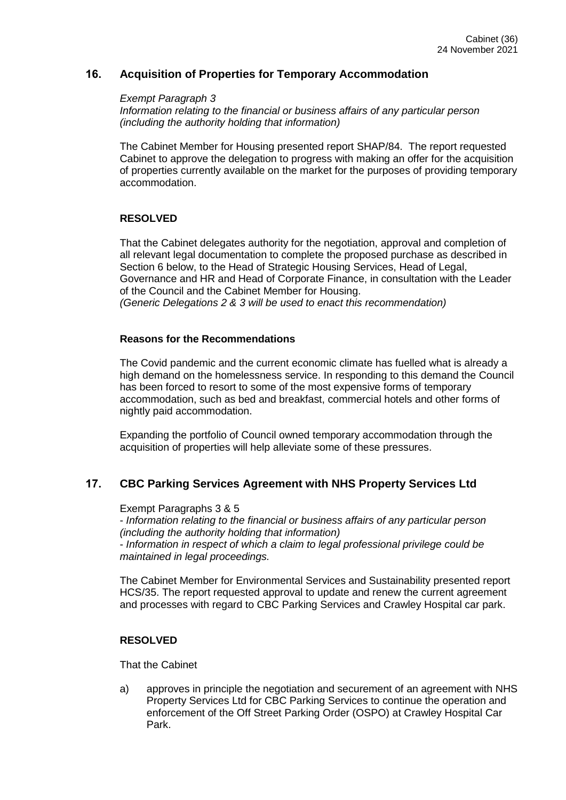# **16. Acquisition of Properties for Temporary Accommodation**

*Exempt Paragraph 3 Information relating to the financial or business affairs of any particular person (including the authority holding that information)*

The Cabinet Member for Housing presented report SHAP/84. The report requested Cabinet to approve the delegation to progress with making an offer for the acquisition of properties currently available on the market for the purposes of providing temporary accommodation.

#### **RESOLVED**

That the Cabinet delegates authority for the negotiation, approval and completion of all relevant legal documentation to complete the proposed purchase as described in Section 6 below, to the Head of Strategic Housing Services, Head of Legal, Governance and HR and Head of Corporate Finance, in consultation with the Leader of the Council and the Cabinet Member for Housing. *(Generic Delegations 2 & 3 will be used to enact this recommendation)*

#### **Reasons for the Recommendations**

The Covid pandemic and the current economic climate has fuelled what is already a high demand on the homelessness service. In responding to this demand the Council has been forced to resort to some of the most expensive forms of temporary accommodation, such as bed and breakfast, commercial hotels and other forms of nightly paid accommodation.

Expanding the portfolio of Council owned temporary accommodation through the acquisition of properties will help alleviate some of these pressures.

#### **17. CBC Parking Services Agreement with NHS Property Services Ltd**

Exempt Paragraphs 3 & 5

- *Information relating to the financial or business affairs of any particular person (including the authority holding that information)*

- *Information in respect of which a claim to legal professional privilege could be maintained in legal proceedings.*

The Cabinet Member for Environmental Services and Sustainability presented report HCS/35. The report requested approval to update and renew the current agreement and processes with regard to CBC Parking Services and Crawley Hospital car park.

#### **RESOLVED**

That the Cabinet

a) approves in principle the negotiation and securement of an agreement with NHS Property Services Ltd for CBC Parking Services to continue the operation and enforcement of the Off Street Parking Order (OSPO) at Crawley Hospital Car Park.